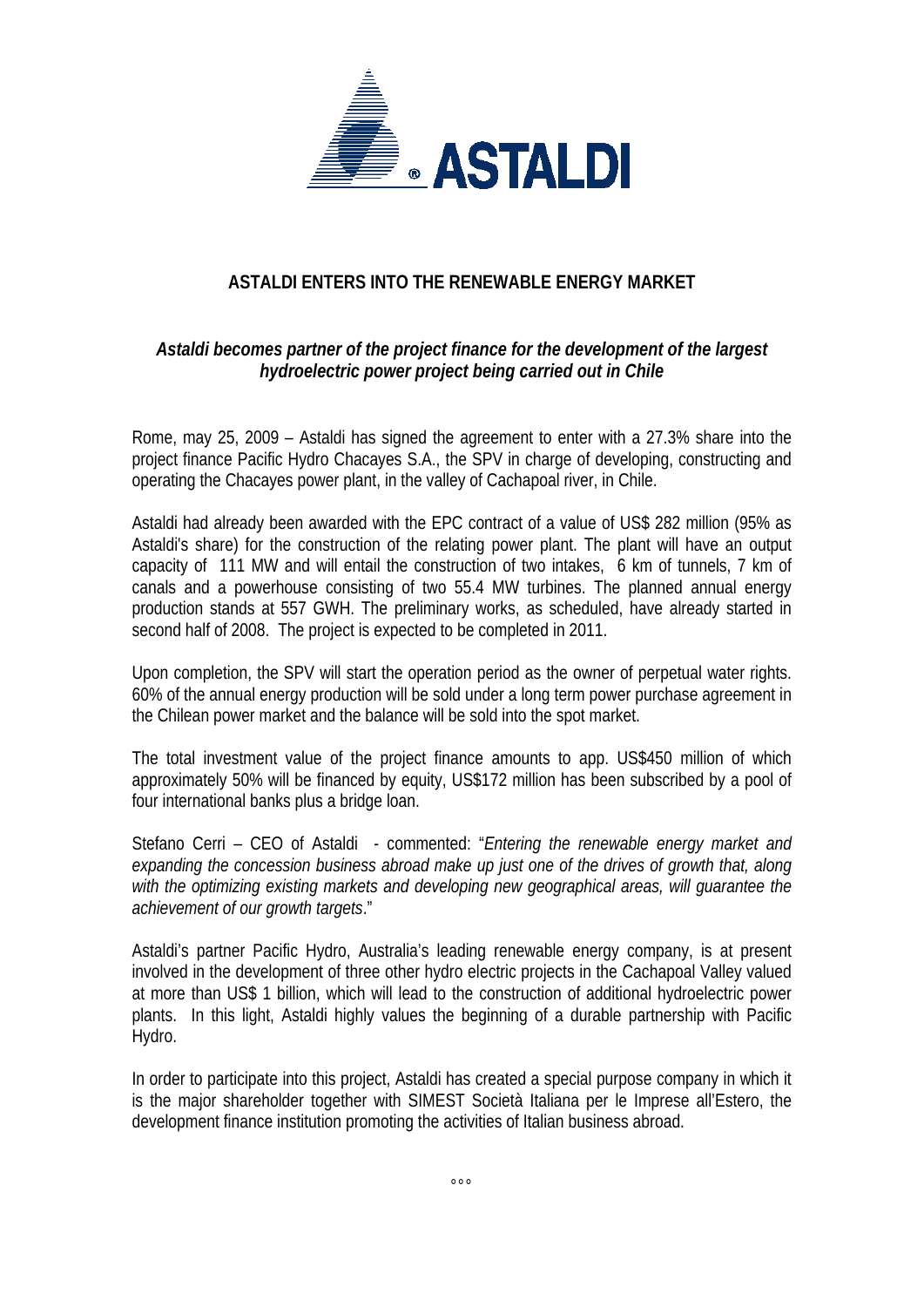

## **ASTALDI ENTERS INTO THE RENEWABLE ENERGY MARKET**

## *Astaldi becomes partner of the project finance for the development of the largest hydroelectric power project being carried out in Chile*

Rome, may 25, 2009 – Astaldi has signed the agreement to enter with a 27.3% share into the project finance Pacific Hydro Chacayes S.A., the SPV in charge of developing, constructing and operating the Chacayes power plant, in the valley of Cachapoal river, in Chile.

Astaldi had already been awarded with the EPC contract of a value of US\$ 282 million (95% as Astaldi's share) for the construction of the relating power plant. The plant will have an output capacity of 111 MW and will entail the construction of two intakes, 6 km of tunnels, 7 km of canals and a powerhouse consisting of two 55.4 MW turbines. The planned annual energy production stands at 557 GWH. The preliminary works, as scheduled, have already started in second half of 2008. The project is expected to be completed in 2011.

Upon completion, the SPV will start the operation period as the owner of perpetual water rights. 60% of the annual energy production will be sold under a long term power purchase agreement in the Chilean power market and the balance will be sold into the spot market.

The total investment value of the project finance amounts to app. US\$450 million of which approximately 50% will be financed by equity, US\$172 million has been subscribed by a pool of four international banks plus a bridge loan.

Stefano Cerri – CEO of Astaldi - commented: "*Entering the renewable energy market and expanding the concession business abroad make up just one of the drives of growth that, along with the optimizing existing markets and developing new geographical areas, will guarantee the achievement of our growth targets*."

Astaldi's partner Pacific Hydro, Australia's leading renewable energy company, is at present involved in the development of three other hydro electric projects in the Cachapoal Valley valued at more than US\$ 1 billion, which will lead to the construction of additional hydroelectric power plants. In this light, Astaldi highly values the beginning of a durable partnership with Pacific Hydro.

In order to participate into this project, Astaldi has created a special purpose company in which it is the major shareholder together with SIMEST Società Italiana per le Imprese all'Estero, the development finance institution promoting the activities of Italian business abroad.